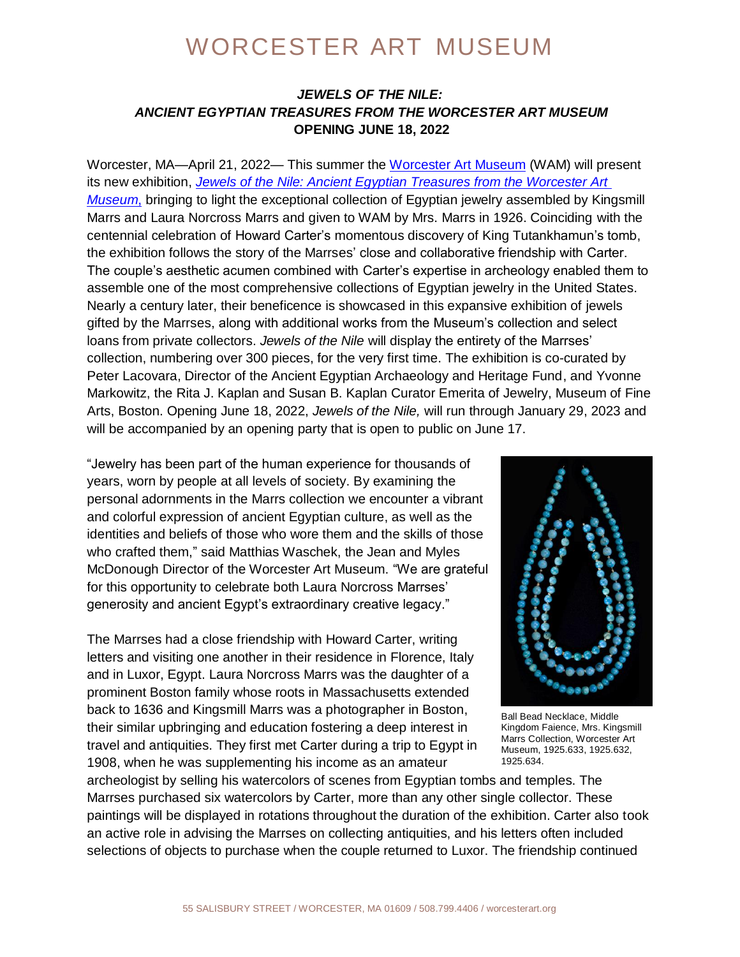## WORCESTER ART MUSEUM

## *JEWELS OF THE NILE: ANCIENT EGYPTIAN TREASURES FROM THE WORCESTER ART MUSEUM* **OPENING JUNE 18, 2022**

Worcester, MA—April 21, 2022— This summer the [Worcester Art Museum](https://www.worcesterart.org/) (WAM) will present its new exhibition, *[Jewels of the Nile: Ancient Egyptian Treasures from the Worcester Art](https://www.worcesterart.org/exhibitions/jewels-of-the-nile/)  [Museum](https://www.worcesterart.org/exhibitions/jewels-of-the-nile/)*, bringing to light the exceptional collection of Egyptian jewelry assembled by Kingsmill Marrs and Laura Norcross Marrs and given to WAM by Mrs. Marrs in 1926. Coinciding with the centennial celebration of Howard Carter's momentous discovery of King Tutankhamun's tomb, the exhibition follows the story of the Marrses' close and collaborative friendship with Carter. The couple's aesthetic acumen combined with Carter's expertise in archeology enabled them to assemble one of the most comprehensive collections of Egyptian jewelry in the United States. Nearly a century later, their beneficence is showcased in this expansive exhibition of jewels gifted by the Marrses, along with additional works from the Museum's collection and select loans from private collectors. *Jewels of the Nile* will display the entirety of the Marrses' collection, numbering over 300 pieces, for the very first time. The exhibition is co-curated by Peter Lacovara, Director of the Ancient Egyptian Archaeology and Heritage Fund, and Yvonne Markowitz, the Rita J. Kaplan and Susan B. Kaplan Curator Emerita of Jewelry, Museum of Fine Arts, Boston. Opening June 18, 2022, *Jewels of the Nile,* will run through January 29, 2023 and will be accompanied by an opening party that is open to public on June 17.

"Jewelry has been part of the human experience for thousands of years, worn by people at all levels of society. By examining the personal adornments in the Marrs collection we encounter a vibrant and colorful expression of ancient Egyptian culture, as well as the identities and beliefs of those who wore them and the skills of those who crafted them," said Matthias Waschek, the Jean and Myles McDonough Director of the Worcester Art Museum. "We are grateful for this opportunity to celebrate both Laura Norcross Marrses' generosity and ancient Egypt's extraordinary creative legacy."

The Marrses had a close friendship with Howard Carter, writing letters and visiting one another in their residence in Florence, Italy and in Luxor, Egypt. Laura Norcross Marrs was the daughter of a prominent Boston family whose roots in Massachusetts extended back to 1636 and Kingsmill Marrs was a photographer in Boston, their similar upbringing and education fostering a deep interest in travel and antiquities. They first met Carter during a trip to Egypt in 1908, when he was supplementing his income as an amateur



Ball Bead Necklace, Middle Kingdom Faience, Mrs. Kingsmill Marrs Collection, Worcester Art Museum, 1925.633, 1925.632, 1925.634.

archeologist by selling his watercolors of scenes from Egyptian tombs and temples. The Marrses purchased six watercolors by Carter, more than any other single collector. These paintings will be displayed in rotations throughout the duration of the exhibition. Carter also took an active role in advising the Marrses on collecting antiquities, and his letters often included selections of objects to purchase when the couple returned to Luxor. The friendship continued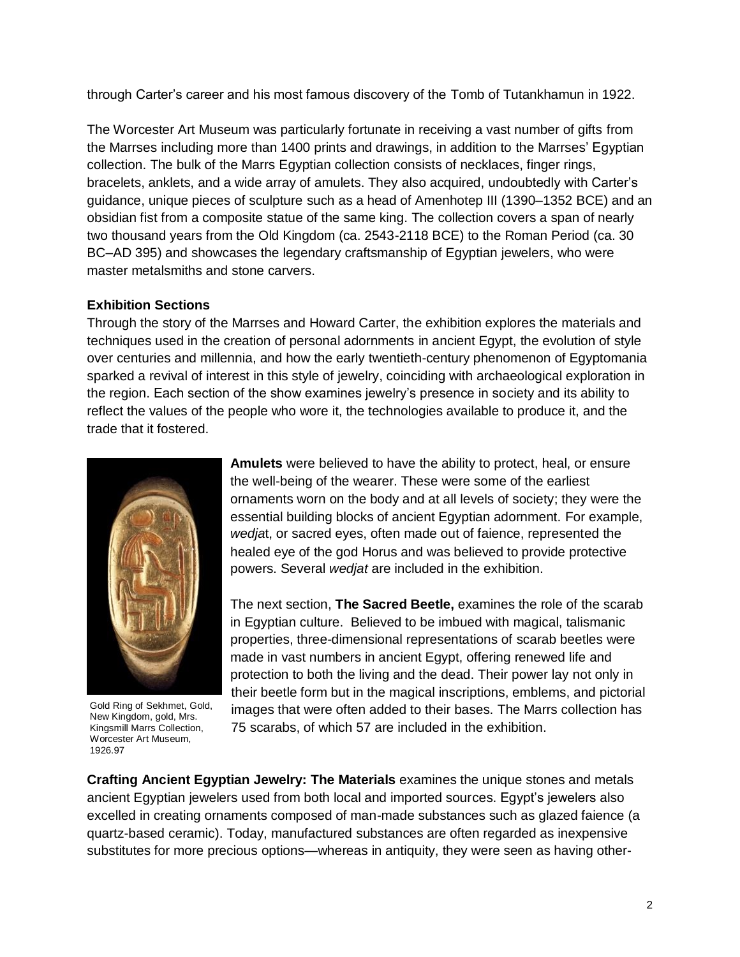through Carter's career and his most famous discovery of the Tomb of Tutankhamun in 1922.

The Worcester Art Museum was particularly fortunate in receiving a vast number of gifts from the Marrses including more than 1400 prints and drawings, in addition to the Marrses' Egyptian collection. The bulk of the Marrs Egyptian collection consists of necklaces, finger rings, bracelets, anklets, and a wide array of amulets. They also acquired, undoubtedly with Carter's guidance, unique pieces of sculpture such as a head of Amenhotep III (1390–1352 BCE) and an obsidian fist from a composite statue of the same king. The collection covers a span of nearly two thousand years from the Old Kingdom (ca. 2543-2118 BCE) to the Roman Period (ca. 30 BC–AD 395) and showcases the legendary craftsmanship of Egyptian jewelers, who were master metalsmiths and stone carvers.

## **Exhibition Sections**

Through the story of the Marrses and Howard Carter, the exhibition explores the materials and techniques used in the creation of personal adornments in ancient Egypt, the evolution of style over centuries and millennia, and how the early twentieth-century phenomenon of Egyptomania sparked a revival of interest in this style of jewelry, coinciding with archaeological exploration in the region. Each section of the show examines jewelry's presence in society and its ability to reflect the values of the people who wore it, the technologies available to produce it, and the trade that it fostered.



Gold Ring of Sekhmet, Gold, New Kingdom, gold, Mrs. Kingsmill Marrs Collection, Worcester Art Museum, 1926.97

**Amulets** were believed to have the ability to protect, heal, or ensure the well-being of the wearer. These were some of the earliest ornaments worn on the body and at all levels of society; they were the essential building blocks of ancient Egyptian adornment. For example, *wedja*t, or sacred eyes, often made out of faience, represented the healed eye of the god Horus and was believed to provide protective powers. Several *wedjat* are included in the exhibition.

The next section, **The Sacred Beetle,** examines the role of the scarab in Egyptian culture. Believed to be imbued with magical, talismanic properties, three-dimensional representations of scarab beetles were made in vast numbers in ancient Egypt, offering renewed life and protection to both the living and the dead. Their power lay not only in their beetle form but in the magical inscriptions, emblems, and pictorial images that were often added to their bases. The Marrs collection has 75 scarabs, of which 57 are included in the exhibition.

**Crafting Ancient Egyptian Jewelry: The Materials** examines the unique stones and metals ancient Egyptian jewelers used from both local and imported sources. Egypt's jewelers also excelled in creating ornaments composed of man-made substances such as glazed faience (a quartz-based ceramic). Today, manufactured substances are often regarded as inexpensive substitutes for more precious options—whereas in antiquity, they were seen as having other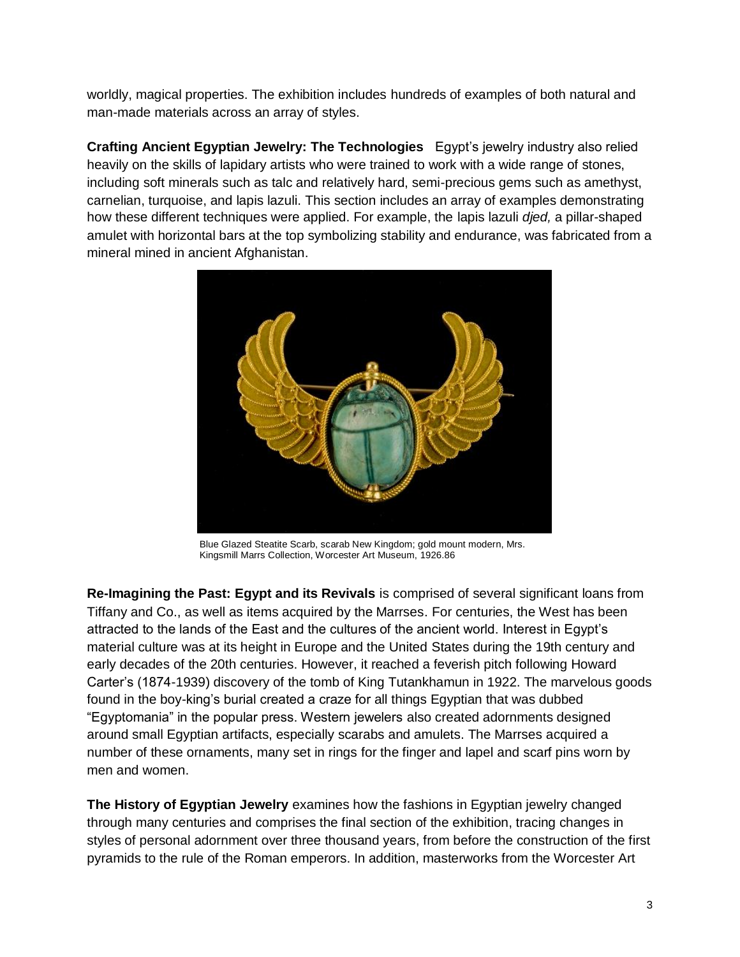worldly, magical properties. The exhibition includes hundreds of examples of both natural and man-made materials across an array of styles.

**Crafting Ancient Egyptian Jewelry: The Technologies** Egypt's jewelry industry also relied heavily on the skills of lapidary artists who were trained to work with a wide range of stones, including soft minerals such as talc and relatively hard, semi-precious gems such as amethyst, carnelian, turquoise, and lapis lazuli. This section includes an array of examples demonstrating how these different techniques were applied. For example, the lapis lazuli *djed,* a pillar-shaped amulet with horizontal bars at the top symbolizing stability and endurance, was fabricated from a mineral mined in ancient Afghanistan.



Blue Glazed Steatite Scarb, scarab New Kingdom; gold mount modern, Mrs. Kingsmill Marrs Collection, Worcester Art Museum, 1926.86

**Re-Imagining the Past: Egypt and its Revivals** is comprised of several significant loans from Tiffany and Co., as well as items acquired by the Marrses. For centuries, the West has been attracted to the lands of the East and the cultures of the ancient world. Interest in Egypt's material culture was at its height in Europe and the United States during the 19th century and early decades of the 20th centuries. However, it reached a feverish pitch following Howard Carter's (1874-1939) discovery of the tomb of King Tutankhamun in 1922. The marvelous goods found in the boy-king's burial created a craze for all things Egyptian that was dubbed "Egyptomania" in the popular press. Western jewelers also created adornments designed around small Egyptian artifacts, especially scarabs and amulets. The Marrses acquired a number of these ornaments, many set in rings for the finger and lapel and scarf pins worn by men and women.

**The History of Egyptian Jewelry** examines how the fashions in Egyptian jewelry changed through many centuries and comprises the final section of the exhibition, tracing changes in styles of personal adornment over three thousand years, from before the construction of the first pyramids to the rule of the Roman emperors. In addition, masterworks from the Worcester Art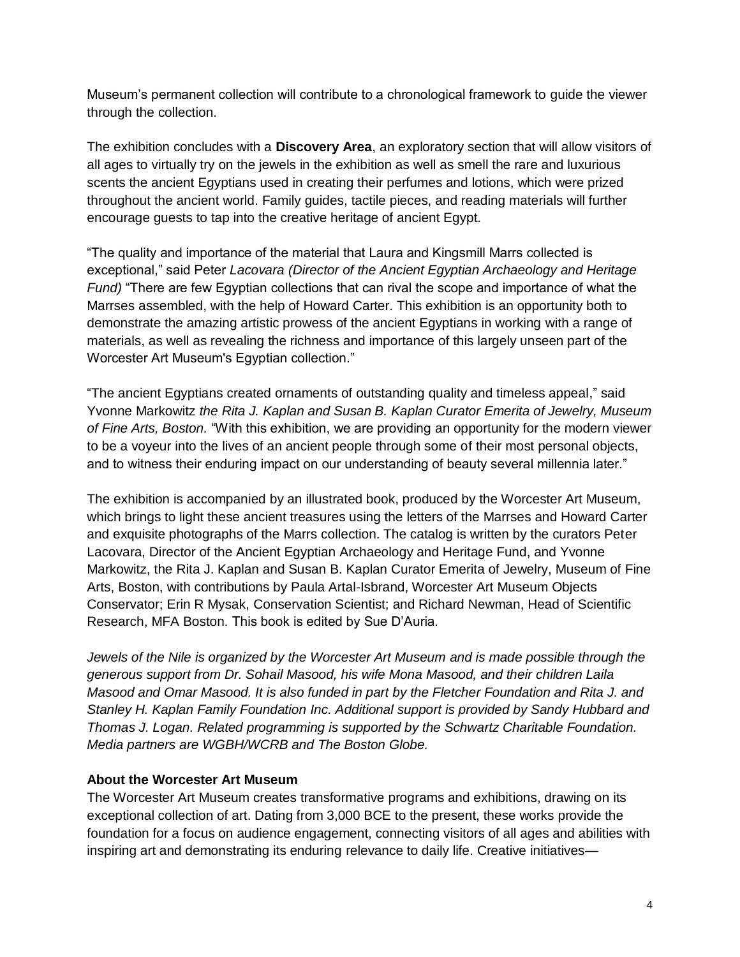Museum's permanent collection will contribute to a chronological framework to guide the viewer through the collection.

The exhibition concludes with a **Discovery Area**, an exploratory section that will allow visitors of all ages to virtually try on the jewels in the exhibition as well as smell the rare and luxurious scents the ancient Egyptians used in creating their perfumes and lotions, which were prized throughout the ancient world. Family guides, tactile pieces, and reading materials will further encourage guests to tap into the creative heritage of ancient Egypt.

"The quality and importance of the material that Laura and Kingsmill Marrs collected is exceptional," said Peter *Lacovara (Director of the Ancient Egyptian Archaeology and Heritage Fund)* "There are few Egyptian collections that can rival the scope and importance of what the Marrses assembled, with the help of Howard Carter. This exhibition is an opportunity both to demonstrate the amazing artistic prowess of the ancient Egyptians in working with a range of materials, as well as revealing the richness and importance of this largely unseen part of the Worcester Art Museum's Egyptian collection."

"The ancient Egyptians created ornaments of outstanding quality and timeless appeal," said Yvonne Markowitz *the Rita J. Kaplan and Susan B. Kaplan Curator Emerita of Jewelry, Museum of Fine Arts, Boston.* "With this exhibition, we are providing an opportunity for the modern viewer to be a voyeur into the lives of an ancient people through some of their most personal objects, and to witness their enduring impact on our understanding of beauty several millennia later."

The exhibition is accompanied by an illustrated book, produced by the Worcester Art Museum, which brings to light these ancient treasures using the letters of the Marrses and Howard Carter and exquisite photographs of the Marrs collection. The catalog is written by the curators Peter Lacovara, Director of the Ancient Egyptian Archaeology and Heritage Fund, and Yvonne Markowitz, the Rita J. Kaplan and Susan B. Kaplan Curator Emerita of Jewelry, Museum of Fine Arts, Boston, with contributions by Paula Artal-Isbrand, Worcester Art Museum Objects Conservator; Erin R Mysak, Conservation Scientist; and Richard Newman, Head of Scientific Research, MFA Boston. This book is edited by Sue D'Auria*.*

*Jewels of the Nile is organized by the Worcester Art Museum and is made possible through the generous support from Dr. Sohail Masood, his wife Mona Masood, and their children Laila Masood and Omar Masood. It is also funded in part by the Fletcher Foundation and Rita J. and Stanley H. Kaplan Family Foundation Inc. Additional support is provided by Sandy Hubbard and Thomas J. Logan. Related programming is supported by the Schwartz Charitable Foundation. Media partners are WGBH/WCRB and The Boston Globe.*

## **About the Worcester Art Museum**

The Worcester Art Museum creates transformative programs and exhibitions, drawing on its exceptional collection of art. Dating from 3,000 BCE to the present, these works provide the foundation for a focus on audience engagement, connecting visitors of all ages and abilities with inspiring art and demonstrating its enduring relevance to daily life. Creative initiatives